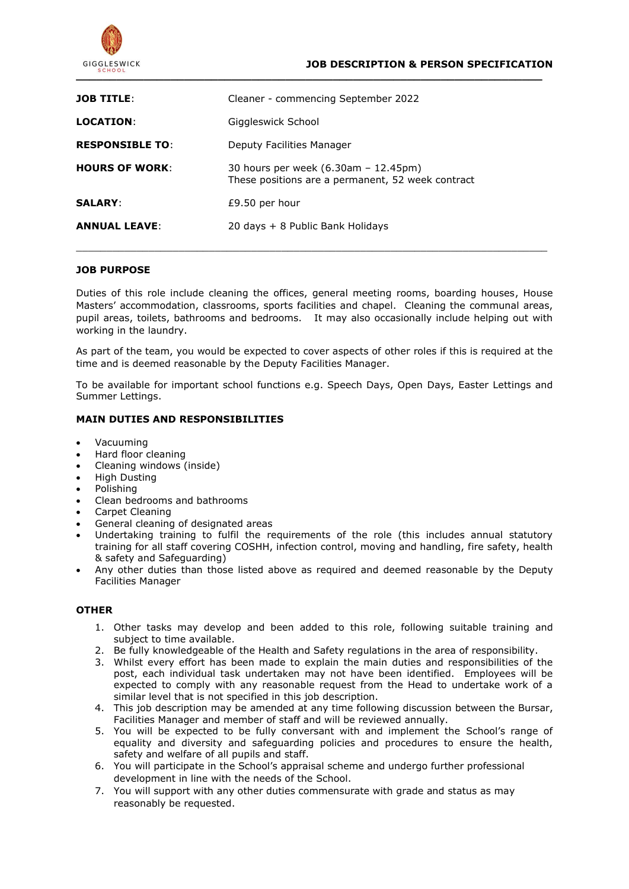

| <b>JOB TITLE:</b>      | Cleaner - commencing September 2022                                                       |
|------------------------|-------------------------------------------------------------------------------------------|
| <b>LOCATION:</b>       | Giggleswick School                                                                        |
| <b>RESPONSIBLE TO:</b> | Deputy Facilities Manager                                                                 |
| <b>HOURS OF WORK:</b>  | 30 hours per week (6.30am – 12.45pm)<br>These positions are a permanent, 52 week contract |
| <b>SALARY:</b>         | £9.50 per hour                                                                            |
| <b>ANNUAL LEAVE:</b>   | 20 days + 8 Public Bank Holidays                                                          |

### **JOB PURPOSE**

Duties of this role include cleaning the offices, general meeting rooms, boarding houses, House Masters' accommodation, classrooms, sports facilities and chapel. Cleaning the communal areas, pupil areas, toilets, bathrooms and bedrooms. It may also occasionally include helping out with working in the laundry.

 $\_$  ,  $\_$  ,  $\_$  ,  $\_$  ,  $\_$  ,  $\_$  ,  $\_$  ,  $\_$  ,  $\_$  ,  $\_$  ,  $\_$  ,  $\_$  ,  $\_$  ,  $\_$  ,  $\_$  ,  $\_$  ,  $\_$  ,  $\_$  ,  $\_$  ,  $\_$  ,  $\_$  ,  $\_$  ,  $\_$  ,  $\_$  ,  $\_$  ,  $\_$  ,  $\_$  ,  $\_$  ,  $\_$  ,  $\_$  ,  $\_$  ,  $\_$  ,  $\_$  ,  $\_$  ,  $\_$  ,  $\_$  ,  $\_$  ,

As part of the team, you would be expected to cover aspects of other roles if this is required at the time and is deemed reasonable by the Deputy Facilities Manager.

To be available for important school functions e.g. Speech Days, Open Days, Easter Lettings and Summer Lettings.

### **MAIN DUTIES AND RESPONSIBILITIES**

- Vacuuming
- Hard floor cleaning
- Cleaning windows (inside)
- High Dusting
- Polishing
- Clean bedrooms and bathrooms
- Carpet Cleaning
- General cleaning of designated areas
- Undertaking training to fulfil the requirements of the role (this includes annual statutory training for all staff covering COSHH, infection control, moving and handling, fire safety, health & safety and Safeguarding)
- Any other duties than those listed above as required and deemed reasonable by the Deputy Facilities Manager

### **OTHER**

- 1. Other tasks may develop and been added to this role, following suitable training and subject to time available.
- 2. Be fully knowledgeable of the Health and Safety regulations in the area of responsibility.
- 3. Whilst every effort has been made to explain the main duties and responsibilities of the post, each individual task undertaken may not have been identified. Employees will be expected to comply with any reasonable request from the Head to undertake work of a similar level that is not specified in this job description.
- 4. This job description may be amended at any time following discussion between the Bursar, Facilities Manager and member of staff and will be reviewed annually.
- 5. You will be expected to be fully conversant with and implement the School's range of equality and diversity and safeguarding policies and procedures to ensure the health, safety and welfare of all pupils and staff.
- 6. You will participate in the School's appraisal scheme and undergo further professional development in line with the needs of the School.
- 7. You will support with any other duties commensurate with grade and status as may reasonably be requested.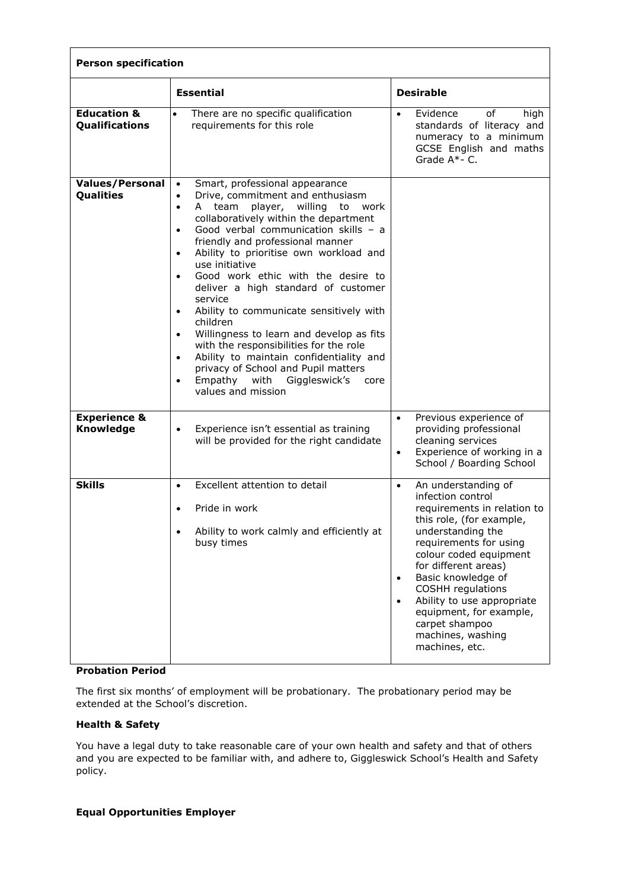| <b>Person specification</b>                     |                                                                                                                                                                                                                                                                                                                                                                                                                                                                                                                                                                                                                                                                                                                                                                                                        |                                                                                                                                                                                                                                                                                                                                                                                                          |  |
|-------------------------------------------------|--------------------------------------------------------------------------------------------------------------------------------------------------------------------------------------------------------------------------------------------------------------------------------------------------------------------------------------------------------------------------------------------------------------------------------------------------------------------------------------------------------------------------------------------------------------------------------------------------------------------------------------------------------------------------------------------------------------------------------------------------------------------------------------------------------|----------------------------------------------------------------------------------------------------------------------------------------------------------------------------------------------------------------------------------------------------------------------------------------------------------------------------------------------------------------------------------------------------------|--|
|                                                 | <b>Essential</b>                                                                                                                                                                                                                                                                                                                                                                                                                                                                                                                                                                                                                                                                                                                                                                                       | <b>Desirable</b>                                                                                                                                                                                                                                                                                                                                                                                         |  |
| <b>Education &amp;</b><br><b>Qualifications</b> | There are no specific qualification<br>requirements for this role                                                                                                                                                                                                                                                                                                                                                                                                                                                                                                                                                                                                                                                                                                                                      | Evidence<br>of<br>high<br>$\bullet$<br>standards of literacy and<br>numeracy to a minimum<br>GCSE English and maths<br>Grade A*- C.                                                                                                                                                                                                                                                                      |  |
| <b>Values/Personal</b><br>Qualities             | Smart, professional appearance<br>Drive, commitment and enthusiasm<br>$\bullet$<br>player, willing to<br>A team<br>work<br>$\bullet$<br>collaboratively within the department<br>Good verbal communication skills - a<br>$\bullet$<br>friendly and professional manner<br>Ability to prioritise own workload and<br>$\bullet$<br>use initiative<br>Good work ethic with the desire to<br>$\bullet$<br>deliver a high standard of customer<br>service<br>Ability to communicate sensitively with<br>$\bullet$<br>children<br>Willingness to learn and develop as fits<br>$\bullet$<br>with the responsibilities for the role<br>Ability to maintain confidentiality and<br>$\bullet$<br>privacy of School and Pupil matters<br>Empathy with<br>Giggleswick's<br>core<br>$\bullet$<br>values and mission |                                                                                                                                                                                                                                                                                                                                                                                                          |  |
| <b>Experience &amp;</b><br><b>Knowledge</b>     | Experience isn't essential as training<br>$\bullet$<br>will be provided for the right candidate                                                                                                                                                                                                                                                                                                                                                                                                                                                                                                                                                                                                                                                                                                        | Previous experience of<br>$\bullet$<br>providing professional<br>cleaning services<br>Experience of working in a<br>$\bullet$<br>School / Boarding School                                                                                                                                                                                                                                                |  |
| <b>Skills</b>                                   | Excellent attention to detail<br>$\bullet$<br>Pride in work<br>$\bullet$<br>Ability to work calmly and efficiently at<br>busy times                                                                                                                                                                                                                                                                                                                                                                                                                                                                                                                                                                                                                                                                    | An understanding of<br>$\bullet$<br>infection control<br>requirements in relation to<br>this role, (for example,<br>understanding the<br>requirements for using<br>colour coded equipment<br>for different areas)<br>Basic knowledge of<br>$\bullet$<br>COSHH regulations<br>Ability to use appropriate<br>$\bullet$<br>equipment, for example,<br>carpet shampoo<br>machines, washing<br>machines, etc. |  |

## **Probation Period**

The first six months' of employment will be probationary. The probationary period may be extended at the School's discretion.

# **Health & Safety**

You have a legal duty to take reasonable care of your own health and safety and that of others and you are expected to be familiar with, and adhere to, Giggleswick School's Health and Safety policy.

### **Equal Opportunities Employer**